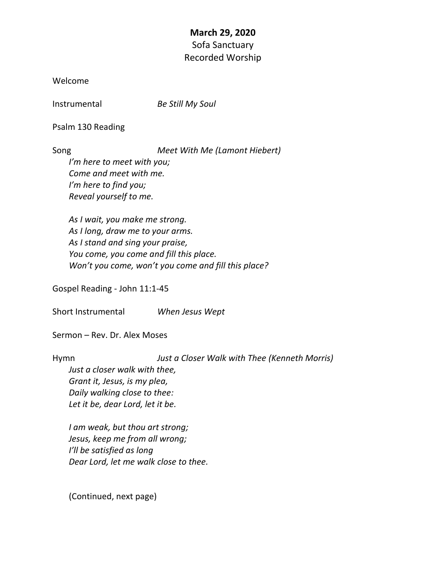## **March 29, 2020** Sofa Sanctuary Recorded Worship

Welcome

Instrumental *Be Still My Soul*

Psalm 130 Reading

Song *Meet With Me (Lamont Hiebert)*

*I'm here to meet with you; Come and meet with me. I'm here to find you; Reveal yourself to me.*

*As I wait, you make me strong. As I long, draw me to your arms. As I stand and sing your praise, You come, you come and fill this place. Won't you come, won't you come and fill this place?* 

Gospel Reading - John 11:1-45

Short Instrumental *When Jesus Wept*

Sermon – Rev. Dr. Alex Moses

Hymn *Just a Closer Walk with Thee (Kenneth Morris) Just a closer walk with thee, Grant it, Jesus, is my plea, Daily walking close to thee: Let it be, dear Lord, let it be.*

*I am weak, but thou art strong; Jesus, keep me from all wrong; I'll be satisfied as long Dear Lord, let me walk close to thee.*

(Continued, next page)